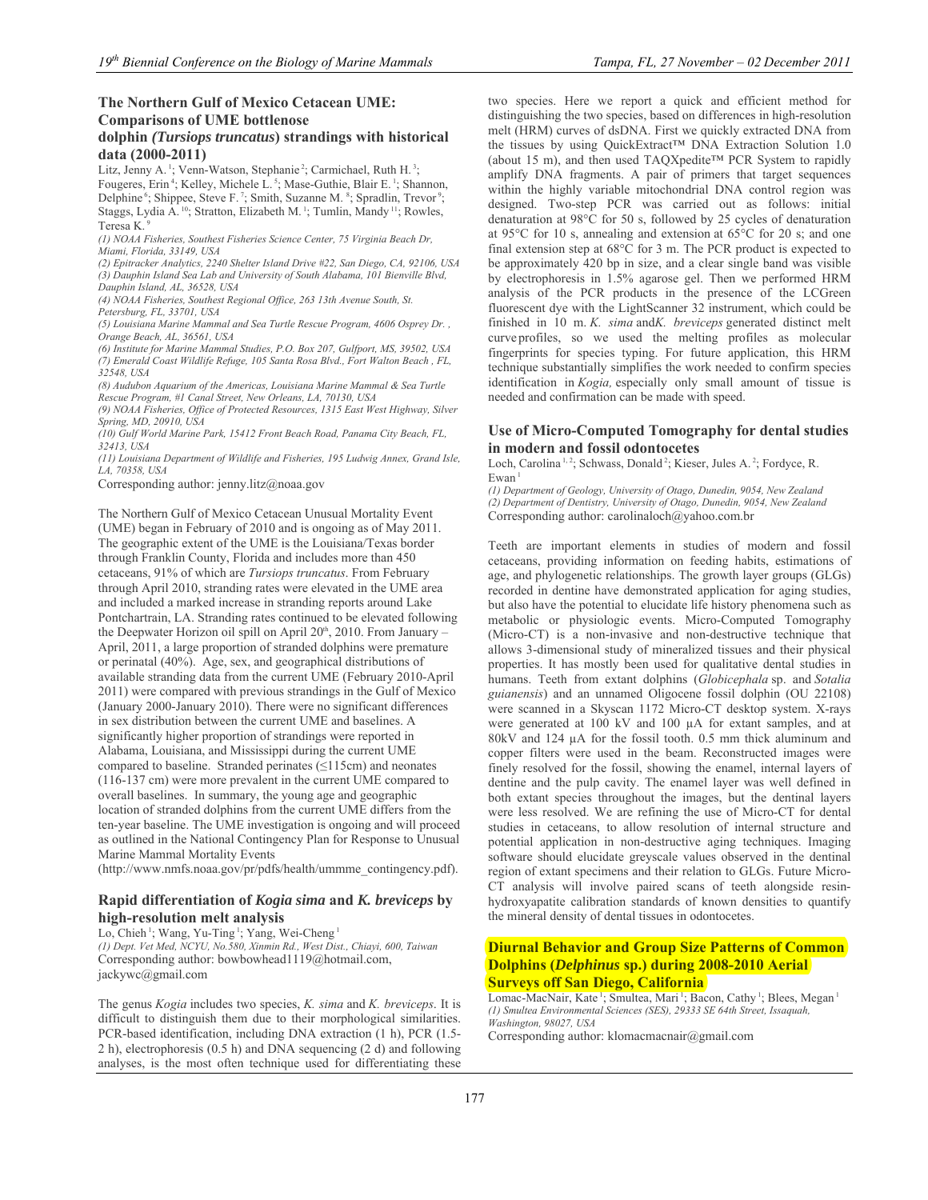## **dolphin** *(Tursiops truncatus***) strandings with historical data (2000-2011)**

Litz, Jenny A.<sup>1</sup>; Venn-Watson, Stephanie<sup>2</sup>; Carmichael, Ruth H.<sup>3</sup>; Fougeres, Erin<sup>4</sup>; Kelley, Michele L.<sup>5</sup>; Mase-Guthie, Blair E.<sup>1</sup>; Shannon, Delphine<sup>6</sup>; Shippee, Steve F.<sup>7</sup>; Smith, Suzanne M.<sup>8</sup>; Spradlin, Trevor<sup>9</sup>; Staggs, Lydia A. <sup>10</sup>; Stratton, Elizabeth M. <sup>1</sup>; Tumlin, Mandy <sup>11</sup>; Rowles, Teresa K. 9

*(1) NOAA Fisheries, Southest Fisheries Science Center, 75 Virginia Beach Dr, Miami, Florida, 33149, USA* 

*(2) Epitracker Analytics, 2240 Shelter Island Drive #22, San Diego, CA, 92106, USA (3) Dauphin Island Sea Lab and University of South Alabama, 101 Bienville Blvd, Dauphin Island, AL, 36528, USA* 

*(4) NOAA Fisheries, Southest Regional Office, 263 13th Avenue South, St.* 

*Petersburg, FL, 33701, USA* 

*(5) Louisiana Marine Mammal and Sea Turtle Rescue Program, 4606 Osprey Dr. , Orange Beach, AL, 36561, USA* 

*(6) Institute for Marine Mammal Studies, P.O. Box 207, Gulfport, MS, 39502, USA (7) Emerald Coast Wildlife Refuge, 105 Santa Rosa Blvd., Fort Walton Beach , FL, 32548, USA* 

*(8) Audubon Aquarium of the Americas, Louisiana Marine Mammal & Sea Turtle Rescue Program, #1 Canal Street, New Orleans, LA, 70130, USA* 

*(9) NOAA Fisheries, Office of Protected Resources, 1315 East West Highway, Silver Spring, MD, 20910, USA* 

*(10) Gulf World Marine Park, 15412 Front Beach Road, Panama City Beach, FL, 32413, USA* 

*(11) Louisiana Department of Wildlife and Fisheries, 195 Ludwig Annex, Grand Isle, LA, 70358, USA* 

Corresponding author: jenny.litz@noaa.gov

The Northern Gulf of Mexico Cetacean Unusual Mortality Event (UME) began in February of 2010 and is ongoing as of May 2011. The geographic extent of the UME is the Louisiana/Texas border through Franklin County, Florida and includes more than 450 cetaceans, 91% of which are *Tursiops truncatus*. From February through April 2010, stranding rates were elevated in the UME area and included a marked increase in stranding reports around Lake Pontchartrain, LA. Stranding rates continued to be elevated following the Deepwater Horizon oil spill on April 20<sup>th</sup>, 2010. From January -April, 2011, a large proportion of stranded dolphins were premature or perinatal (40%). Age, sex, and geographical distributions of available stranding data from the current UME (February 2010-April 2011) were compared with previous strandings in the Gulf of Mexico (January 2000-January 2010). There were no significant differences in sex distribution between the current UME and baselines. A significantly higher proportion of strandings were reported in Alabama, Louisiana, and Mississippi during the current UME compared to baseline. Stranded perinates (≤115cm) and neonates (116-137 cm) were more prevalent in the current UME compared to overall baselines. In summary, the young age and geographic location of stranded dolphins from the current UME differs from the ten-year baseline. The UME investigation is ongoing and will proceed as outlined in the National Contingency Plan for Response to Unusual Marine Mammal Mortality Events

(http://www.nmfs.noaa.gov/pr/pdfs/health/ummme\_contingency.pdf).

## **Rapid differentiation of** *Kogia sima* **and** *K. breviceps* **by high-resolution melt analysis**

Lo, Chieh<sup>1</sup>; Wang, Yu-Ting<sup>1</sup>; Yang, Wei-Cheng<sup>1</sup> *(1) Dept. Vet Med, NCYU, No.580, Xinmin Rd., West Dist., Chiayi, 600, Taiwan*  Corresponding author: bowbowhead1119@hotmail.com, jackywc@gmail.com

The genus *Kogia* includes two species, *K. sima* and *K. breviceps*. It is difficult to distinguish them due to their morphological similarities. PCR-based identification, including DNA extraction (1 h), PCR (1.5- 2 h), electrophoresis (0.5 h) and DNA sequencing (2 d) and following analyses, is the most often technique used for differentiating these two species. Here we report a quick and efficient method for distinguishing the two species, based on differences in high-resolution melt (HRM) curves of dsDNA. First we quickly extracted DNA from the tissues by using QuickExtract™ DNA Extraction Solution 1.0 (about 15 m), and then used TAQXpedite™ PCR System to rapidly amplify DNA fragments. A pair of primers that target sequences within the highly variable mitochondrial DNA control region was designed. Two-step PCR was carried out as follows: initial denaturation at 98°C for 50 s, followed by 25 cycles of denaturation at 95°C for 10 s, annealing and extension at 65°C for 20 s; and one final extension step at 68°C for 3 m. The PCR product is expected to be approximately 420 bp in size, and a clear single band was visible by electrophoresis in 1.5% agarose gel. Then we performed HRM analysis of the PCR products in the presence of the LCGreen fluorescent dye with the LightScanner 32 instrument, which could be finished in 10 m. *K. sima* and*K. breviceps* generated distinct melt curve profiles, so we used the melting profiles as molecular fingerprints for species typing. For future application, this HRM technique substantially simplifies the work needed to confirm species identification in *Kogia,* especially only small amount of tissue is needed and confirmation can be made with speed.

### **Use of Micro-Computed Tomography for dental studies in modern and fossil odontocetes**

Loch, Carolina<sup>1,2</sup>; Schwass, Donald<sup>2</sup>; Kieser, Jules A.<sup>2</sup>; Fordyce, R.  $Ewan<sup>1</sup>$ 

*(1) Department of Geology, University of Otago, Dunedin, 9054, New Zealand (2) Department of Dentistry, University of Otago, Dunedin, 9054, New Zealand*  Corresponding author: carolinaloch@yahoo.com.br

Teeth are important elements in studies of modern and fossil cetaceans, providing information on feeding habits, estimations of age, and phylogenetic relationships. The growth layer groups (GLGs) recorded in dentine have demonstrated application for aging studies, but also have the potential to elucidate life history phenomena such as metabolic or physiologic events. Micro-Computed Tomography (Micro-CT) is a non-invasive and non-destructive technique that allows 3-dimensional study of mineralized tissues and their physical properties. It has mostly been used for qualitative dental studies in humans. Teeth from extant dolphins (*Globicephala* sp. and *Sotalia guianensis*) and an unnamed Oligocene fossil dolphin (OU 22108) were scanned in a Skyscan 1172 Micro-CT desktop system. X-rays were generated at 100 kV and 100 µA for extant samples, and at 80kV and 124 µA for the fossil tooth. 0.5 mm thick aluminum and copper filters were used in the beam. Reconstructed images were finely resolved for the fossil, showing the enamel, internal layers of dentine and the pulp cavity. The enamel layer was well defined in both extant species throughout the images, but the dentinal layers were less resolved. We are refining the use of Micro-CT for dental studies in cetaceans, to allow resolution of internal structure and potential application in non-destructive aging techniques. Imaging software should elucidate greyscale values observed in the dentinal region of extant specimens and their relation to GLGs. Future Micro-CT analysis will involve paired scans of teeth alongside resinhydroxyapatite calibration standards of known densities to quantify the mineral density of dental tissues in odontocetes.

# **Diurnal Behavior and Group Size Patterns of Common Dolphins (***Delphinus* **sp.) during 2008-2010 Aerial Surveys off San Diego, California**

Lomac-MacNair, Kate<sup>1</sup>; Smultea, Mari<sup>1</sup>; Bacon, Cathy<sup>1</sup>; Blees, Megan<sup>1</sup> *(1) Smultea Environmental Sciences (SES), 29333 SE 64th Street, Issaquah, Washington, 98027, USA* 

Corresponding author: klomacmacnair@gmail.com